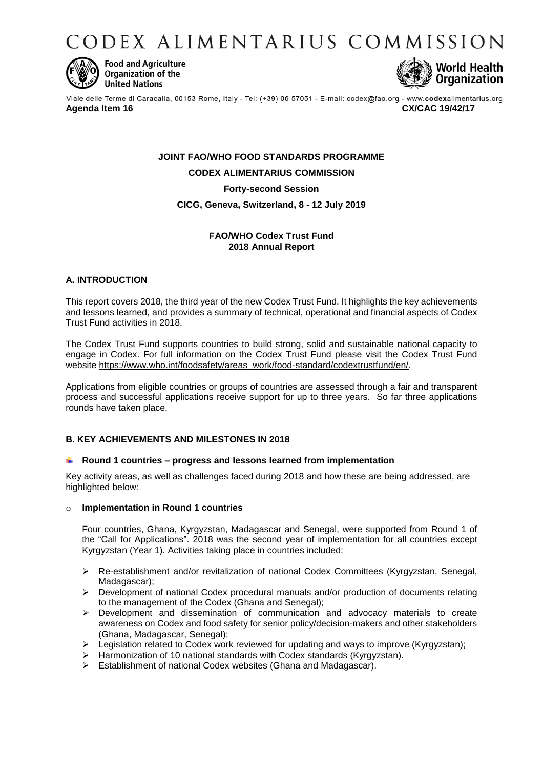CODEX ALIMENTARIUS COMMISSION



**Food and Agriculture** Organization of the **United Nations** 



Viale delle Terme di Caracalla, 00153 Rome, Italy - Tel: (+39) 06 57051 - E-mail: codex@fao.org - www.codexalimentarius.org **Agenda Item 16 CX/CAC 19/42/17**

# **JOINT FAO/WHO FOOD STANDARDS PROGRAMME CODEX ALIMENTARIUS COMMISSION Forty-second Session CICG, Geneva, Switzerland, 8 - 12 July 2019**

# **FAO/WHO Codex Trust Fund 2018 Annual Report**

# **A. INTRODUCTION**

This report covers 2018, the third year of the new Codex Trust Fund. It highlights the key achievements and lessons learned, and provides a summary of technical, operational and financial aspects of Codex Trust Fund activities in 2018.

The Codex Trust Fund supports countries to build strong, solid and sustainable national capacity to engage in Codex. For full information on the Codex Trust Fund please visit the Codex Trust Fund website [https://www.who.int/foodsafety/areas\\_work/food-standard/codextrustfund/en/.](https://www.who.int/foodsafety/areas_work/food-standard/codextrustfund/en/)

Applications from eligible countries or groups of countries are assessed through a fair and transparent process and successful applications receive support for up to three years. So far three applications rounds have taken place.

# **B. KEY ACHIEVEMENTS AND MILESTONES IN 2018**

### **Round 1 countries – progress and lessons learned from implementation**

Key activity areas, as well as challenges faced during 2018 and how these are being addressed, are highlighted below:

### o **Implementation in Round 1 countries**

Four countries, Ghana, Kyrgyzstan, Madagascar and Senegal, were supported from Round 1 of the "Call for Applications". 2018 was the second year of implementation for all countries except Kyrgyzstan (Year 1). Activities taking place in countries included:

- Re-establishment and/or revitalization of national Codex Committees (Kyrgyzstan, Senegal, Madagascar);
- $\triangleright$  Development of national Codex procedural manuals and/or production of documents relating to the management of the Codex (Ghana and Senegal);
- $\triangleright$  Development and dissemination of communication and advocacy materials to create awareness on Codex and food safety for senior policy/decision-makers and other stakeholders (Ghana, Madagascar, Senegal);
- $\triangleright$  Legislation related to Codex work reviewed for updating and ways to improve (Kyrgyzstan);
- > Harmonization of 10 national standards with Codex standards (Kyrgyzstan).
- Establishment of national Codex websites (Ghana and Madagascar).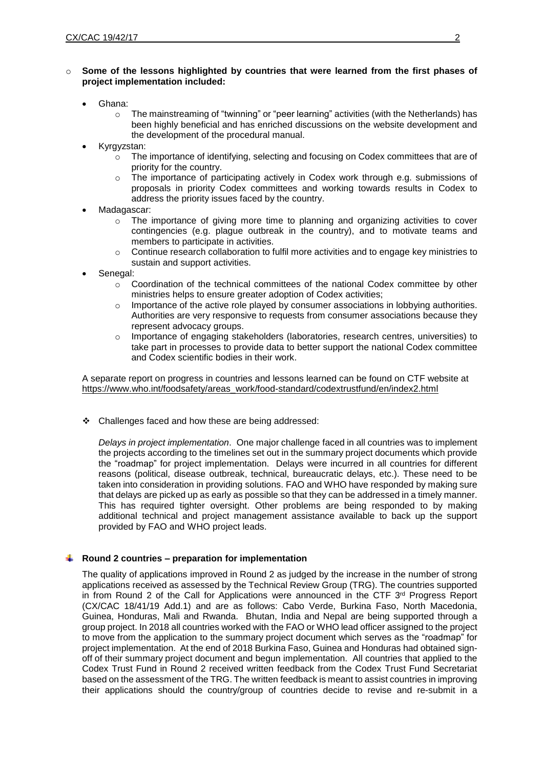# o **Some of the lessons highlighted by countries that were learned from the first phases of project implementation included:**

- Ghana:
	- o The mainstreaming of "twinning" or "peer learning" activities (with the Netherlands) has been highly beneficial and has enriched discussions on the website development and the development of the procedural manual.
- Kyrgyzstan:
	- $\circ$  The importance of identifying, selecting and focusing on Codex committees that are of priority for the country.
	- $\circ$  The importance of participating actively in Codex work through e.g. submissions of proposals in priority Codex committees and working towards results in Codex to address the priority issues faced by the country.
- Madagascar:
	- $\circ$  The importance of giving more time to planning and organizing activities to cover contingencies (e.g. plague outbreak in the country), and to motivate teams and members to participate in activities.
	- $\circ$  Continue research collaboration to fulfil more activities and to engage key ministries to sustain and support activities.
- Senegal:
	- $\circ$  Coordination of the technical committees of the national Codex committee by other ministries helps to ensure greater adoption of Codex activities;
	- $\circ$  Importance of the active role played by consumer associations in lobbying authorities. Authorities are very responsive to requests from consumer associations because they represent advocacy groups.
	- o Importance of engaging stakeholders (laboratories, research centres, universities) to take part in processes to provide data to better support the national Codex committee and Codex scientific bodies in their work.

A separate report on progress in countries and lessons learned can be found on CTF website at [https://www.who.int/foodsafety/areas\\_work/food-standard/codextrustfund/en/index2.html](https://www.who.int/foodsafety/areas_work/food-standard/codextrustfund/en/index2.html)

Challenges faced and how these are being addressed:

*Delays in project implementation*. One major challenge faced in all countries was to implement the projects according to the timelines set out in the summary project documents which provide the "roadmap" for project implementation. Delays were incurred in all countries for different reasons (political, disease outbreak, technical, bureaucratic delays, etc.). These need to be taken into consideration in providing solutions. FAO and WHO have responded by making sure that delays are picked up as early as possible so that they can be addressed in a timely manner. This has required tighter oversight. Other problems are being responded to by making additional technical and project management assistance available to back up the support provided by FAO and WHO project leads.

### **Round 2 countries – preparation for implementation**

The quality of applications improved in Round 2 as judged by the increase in the number of strong applications received as assessed by the Technical Review Group (TRG). The countries supported in from Round 2 of the Call for Applications were announced in the CTF 3<sup>rd</sup> Progress Report (CX/CAC 18/41/19 Add.1) and are as follows: Cabo Verde, Burkina Faso, North Macedonia, Guinea, Honduras, Mali and Rwanda. Bhutan, India and Nepal are being supported through a group project. In 2018 all countries worked with the FAO or WHO lead officer assigned to the project to move from the application to the summary project document which serves as the "roadmap" for project implementation. At the end of 2018 Burkina Faso, Guinea and Honduras had obtained signoff of their summary project document and begun implementation. All countries that applied to the Codex Trust Fund in Round 2 received written feedback from the Codex Trust Fund Secretariat based on the assessment of the TRG. The written feedback is meant to assist countries in improving their applications should the country/group of countries decide to revise and re-submit in a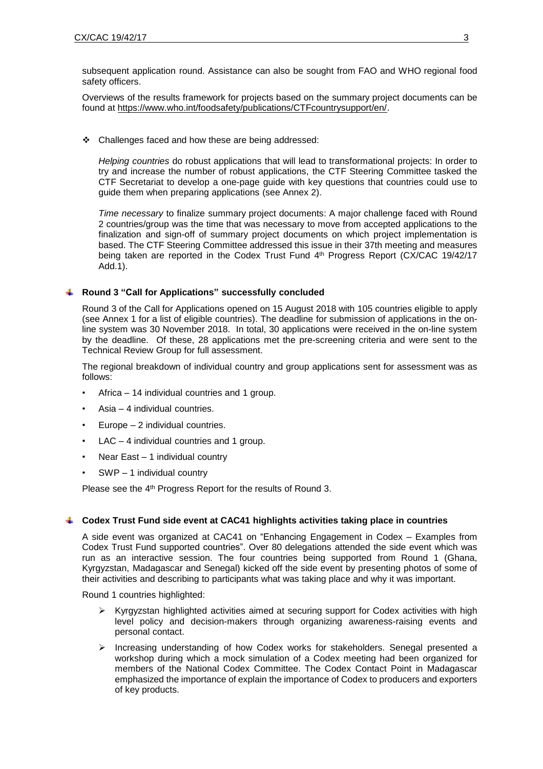subsequent application round. Assistance can also be sought from FAO and WHO regional food safety officers.

Overviews of the results framework for projects based on the summary project documents can be found at [https://www.who.int/foodsafety/publications/CTFcountrysupport/en/.](https://www.who.int/foodsafety/publications/CTFcountrysupport/en/)

Challenges faced and how these are being addressed:

*Helping countries* do robust applications that will lead to transformational projects: In order to try and increase the number of robust applications, the CTF Steering Committee tasked the CTF Secretariat to develop a one-page guide with key questions that countries could use to guide them when preparing applications (see Annex 2).

*Time necessary* to finalize summary project documents: A major challenge faced with Round 2 countries/group was the time that was necessary to move from accepted applications to the finalization and sign-off of summary project documents on which project implementation is based. The CTF Steering Committee addressed this issue in their 37th meeting and measures being taken are reported in the Codex Trust Fund 4<sup>th</sup> Progress Report (CX/CAC 19/42/17 Add.1).

#### **Round 3 "Call for Applications" successfully concluded**

Round 3 of the Call for Applications opened on 15 August 2018 with 105 countries eligible to apply (see Annex 1 for a list of eligible countries). The deadline for submission of applications in the online system was 30 November 2018. In total, 30 applications were received in the on-line system by the deadline. Of these, 28 applications met the pre-screening criteria and were sent to the Technical Review Group for full assessment.

The regional breakdown of individual country and group applications sent for assessment was as follows:

- Africa 14 individual countries and 1 group.
- Asia  $-$  4 individual countries.
- Europe 2 individual countries.
- $LAC 4$  individual countries and 1 group.
- Near East 1 individual country
- SWP 1 individual country

Please see the 4<sup>th</sup> Progress Report for the results of Round 3.

#### **Codex Trust Fund side event at CAC41 highlights activities taking place in countries**

A side event was organized at CAC41 on "Enhancing Engagement in Codex – Examples from Codex Trust Fund supported countries". Over 80 delegations attended the side event which was run as an interactive session. The four countries being supported from Round 1 (Ghana, Kyrgyzstan, Madagascar and Senegal) kicked off the side event by presenting photos of some of their activities and describing to participants what was taking place and why it was important.

Round 1 countries highlighted:

- Kyrgyzstan highlighted activities aimed at securing support for Codex activities with high level policy and decision-makers through organizing awareness-raising events and personal contact.
- $\triangleright$  Increasing understanding of how Codex works for stakeholders. Senegal presented a workshop during which a mock simulation of a Codex meeting had been organized for members of the National Codex Committee. The Codex Contact Point in Madagascar emphasized the importance of explain the importance of Codex to producers and exporters of key products.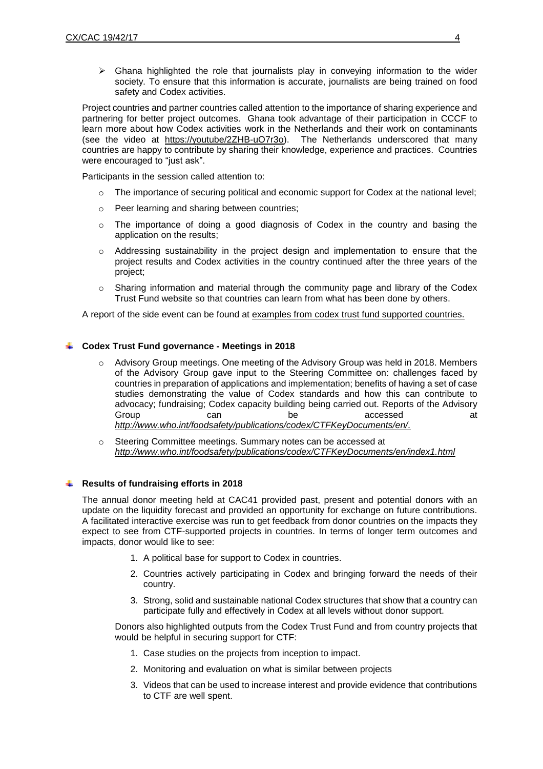$\triangleright$  Ghana highlighted the role that journalists play in conveying information to the wider society. To ensure that this information is accurate, journalists are being trained on food safety and Codex activities.

Project countries and partner countries called attention to the importance of sharing experience and partnering for better project outcomes. Ghana took advantage of their participation in CCCF to learn more about how Codex activities work in the Netherlands and their work on contaminants (see the video at [https://youtube/2ZHB-uO7r3o\)](https://youtube/2ZHB-uO7r3o). The Netherlands underscored that many countries are happy to contribute by sharing their knowledge, experience and practices. Countries were encouraged to "just ask".

Participants in the session called attention to:

- o The importance of securing political and economic support for Codex at the national level;
- o Peer learning and sharing between countries;
- $\circ$  The importance of doing a good diagnosis of Codex in the country and basing the application on the results;
- $\circ$  Addressing sustainability in the project design and implementation to ensure that the project results and Codex activities in the country continued after the three years of the project;
- $\circ$  Sharing information and material through the community page and library of the Codex Trust Fund website so that countries can learn from what has been done by others.

A report of the side event can be found at examples from codex trust fund [supported](http://www.fao.org/fao-who-codexalimentarius/sh-proxy/en/?lnk=1&url=https%253A%252F%252Fworkspace.fao.org%252Fsites%252Fcodex%252FMeetings%252FCX-701-41%252FCRDs%252FCAC41_CRD_36x.pdf) countries.

# **Codex Trust Fund governance - Meetings in 2018**

- o Advisory Group meetings. One meeting of the Advisory Group was held in 2018. Members of the Advisory Group gave input to the Steering Committee on: challenges faced by countries in preparation of applications and implementation; benefits of having a set of case studies demonstrating the value of Codex standards and how this can contribute to advocacy; fundraising; Codex capacity building being carried out. Reports of the Advisory Group can be accessed at *[http://www.who.int/foodsafety/publications/codex/CTFKeyDocuments/en/.](http://www.who.int/foodsafety/publications/codex/CTFKeyDocuments/en/)*
- o Steering Committee meetings. Summary notes can be accessed at *<http://www.who.int/foodsafety/publications/codex/CTFKeyDocuments/en/index1.html>*

### **Results of fundraising efforts in 2018**

The annual donor meeting held at CAC41 provided past, present and potential donors with an update on the liquidity forecast and provided an opportunity for exchange on future contributions. A facilitated interactive exercise was run to get feedback from donor countries on the impacts they expect to see from CTF-supported projects in countries. In terms of longer term outcomes and impacts, donor would like to see:

- 1. A political base for support to Codex in countries.
- 2. Countries actively participating in Codex and bringing forward the needs of their country.
- 3. Strong, solid and sustainable national Codex structures that show that a country can participate fully and effectively in Codex at all levels without donor support.

Donors also highlighted outputs from the Codex Trust Fund and from country projects that would be helpful in securing support for CTF:

- 1. Case studies on the projects from inception to impact.
- 2. Monitoring and evaluation on what is similar between projects
- 3. Videos that can be used to increase interest and provide evidence that contributions to CTF are well spent.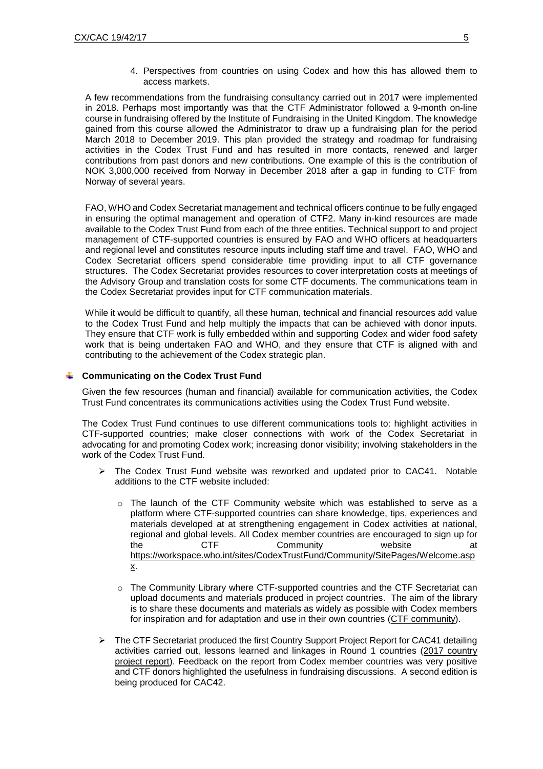4. Perspectives from countries on using Codex and how this has allowed them to access markets.

A few recommendations from the fundraising consultancy carried out in 2017 were implemented in 2018. Perhaps most importantly was that the CTF Administrator followed a 9-month on-line course in fundraising offered by the Institute of Fundraising in the United Kingdom. The knowledge gained from this course allowed the Administrator to draw up a fundraising plan for the period March 2018 to December 2019. This plan provided the strategy and roadmap for fundraising activities in the Codex Trust Fund and has resulted in more contacts, renewed and larger contributions from past donors and new contributions. One example of this is the contribution of NOK 3,000,000 received from Norway in December 2018 after a gap in funding to CTF from Norway of several years.

FAO, WHO and Codex Secretariat management and technical officers continue to be fully engaged in ensuring the optimal management and operation of CTF2. Many in-kind resources are made available to the Codex Trust Fund from each of the three entities. Technical support to and project management of CTF-supported countries is ensured by FAO and WHO officers at headquarters and regional level and constitutes resource inputs including staff time and travel. FAO, WHO and Codex Secretariat officers spend considerable time providing input to all CTF governance structures. The Codex Secretariat provides resources to cover interpretation costs at meetings of the Advisory Group and translation costs for some CTF documents. The communications team in the Codex Secretariat provides input for CTF communication materials.

While it would be difficult to quantify, all these human, technical and financial resources add value to the Codex Trust Fund and help multiply the impacts that can be achieved with donor inputs. They ensure that CTF work is fully embedded within and supporting Codex and wider food safety work that is being undertaken FAO and WHO, and they ensure that CTF is aligned with and contributing to the achievement of the Codex strategic plan.

#### **Communicating on the Codex Trust Fund**

Given the few resources (human and financial) available for communication activities, the Codex Trust Fund concentrates its communications activities using the Codex Trust Fund website.

The Codex Trust Fund continues to use different communications tools to: highlight activities in CTF-supported countries; make closer connections with work of the Codex Secretariat in advocating for and promoting Codex work; increasing donor visibility; involving stakeholders in the work of the Codex Trust Fund.

- The Codex Trust Fund website was reworked and updated prior to CAC41. Notable additions to the CTF website included:
	- o The launch of the CTF Community website which was established to serve as a platform where CTF-supported countries can share knowledge, tips, experiences and materials developed at at strengthening engagement in Codex activities at national, regional and global levels. All Codex member countries are encouraged to sign up for the CTF Community website at [https://workspace.who.int/sites/CodexTrustFund/Community/SitePages/Welcome.asp](https://workspace.who.int/sites/CodexTrustFund/Community/SitePages/Welcome.aspx) [x.](https://workspace.who.int/sites/CodexTrustFund/Community/SitePages/Welcome.aspx)
	- o The Community Library where CTF-supported countries and the CTF Secretariat can upload documents and materials produced in project countries. The aim of the library is to share these documents and materials as widely as possible with Codex members for inspiration and for adaptation and use in their own countries (CTF [community\)](https://workspace.who.int/sites/CodexTrustFund/Community/SitePages/Welcome.aspx).
- $\triangleright$  The CTF Secretariat produced the first Country Support Project Report for CAC41 detailing activities carried out, lessons learned and linkages in Round 1 countries (2017 [country](https://www.who.int/foodsafety/areas_work/food-standard/2017PR-1.pdf?ua=1) [project](https://www.who.int/foodsafety/areas_work/food-standard/2017PR-1.pdf?ua=1) report). Feedback on the report from Codex member countries was very positive and CTF donors highlighted the usefulness in fundraising discussions. A second edition is being produced for CAC42.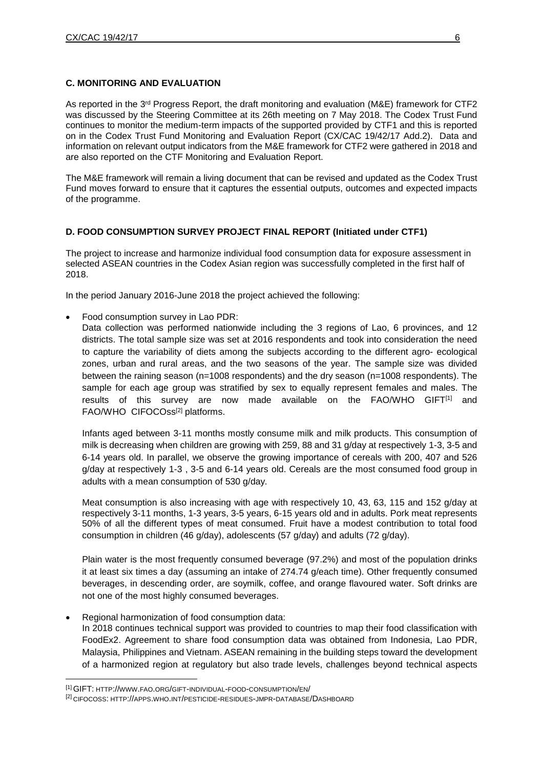# **C. MONITORING AND EVALUATION**

As reported in the 3<sup>rd</sup> Progress Report, the draft monitoring and evaluation (M&E) framework for CTF2 was discussed by the Steering Committee at its 26th meeting on 7 May 2018. The Codex Trust Fund continues to monitor the medium-term impacts of the supported provided by CTF1 and this is reported on in the Codex Trust Fund Monitoring and Evaluation Report (CX/CAC 19/42/17 Add.2). Data and information on relevant output indicators from the M&E framework for CTF2 were gathered in 2018 and are also reported on the CTF Monitoring and Evaluation Report.

The M&E framework will remain a living document that can be revised and updated as the Codex Trust Fund moves forward to ensure that it captures the essential outputs, outcomes and expected impacts of the programme.

# **D. FOOD CONSUMPTION SURVEY PROJECT FINAL REPORT (Initiated under CTF1)**

The project to increase and harmonize individual food consumption data for exposure assessment in selected ASEAN countries in the Codex Asian region was successfully completed in the first half of 2018.

In the period January 2016-June 2018 the project achieved the following:

- Food consumption survey in Lao PDR:
	- Data collection was performed nationwide including the 3 regions of Lao, 6 provinces, and 12 districts. The total sample size was set at 2016 respondents and took into consideration the need to capture the variability of diets among the subjects according to the different agro- ecological zones, urban and rural areas, and the two seasons of the year. The sample size was divided between the raining season (n=1008 respondents) and the dry season (n=1008 respondents). The sample for each age group was stratified by sex to equally represent females and males. The results of this survey are now made available on the FAO/WHO GIFT $[1]$  and FAO/WHO CIFOCOss<sup>[2]</sup> platforms.

Infants aged between 3-11 months mostly consume milk and milk products. This consumption of milk is decreasing when children are growing with 259, 88 and 31 g/day at respectively 1-3, 3-5 and 6-14 years old. In parallel, we observe the growing importance of cereals with 200, 407 and 526 g/day at respectively 1-3 , 3-5 and 6-14 years old. Cereals are the most consumed food group in adults with a mean consumption of 530 g/day.

Meat consumption is also increasing with age with respectively 10, 43, 63, 115 and 152 g/day at respectively 3-11 months, 1-3 years, 3-5 years, 6-15 years old and in adults. Pork meat represents 50% of all the different types of meat consumed. Fruit have a modest contribution to total food consumption in children (46 g/day), adolescents (57 g/day) and adults (72 g/day).

Plain water is the most frequently consumed beverage (97.2%) and most of the population drinks it at least six times a day (assuming an intake of 274.74 g/each time). Other frequently consumed beverages, in descending order, are soymilk, coffee, and orange flavoured water. Soft drinks are not one of the most highly consumed beverages.

 Regional harmonization of food consumption data: In 2018 continues technical support was provided to countries to map their food classification with FoodEx2. Agreement to share food consumption data was obtained from Indonesia, Lao PDR, Malaysia, Philippines and Vietnam. ASEAN remaining in the building steps toward the development of a harmonized region at regulatory but also trade levels, challenges beyond technical aspects

 $\overline{a}$ 

<sup>[1]</sup> GIFT: HTTP://WWW.FAO.ORG/GIFT-INDIVIDUAL-FOOD-[CONSUMPTION](http://www.fao.org/gift-individual-food-consumption/en/)/EN/

<sup>[2]</sup> CIFOCOSS: HTTP://APPS.WHO.INT/PESTICIDE-RESIDUES-JMPR-DATABASE/D[ASHBOARD](http://apps.who.int/pesticide-residues-jmpr-database/Dashboard)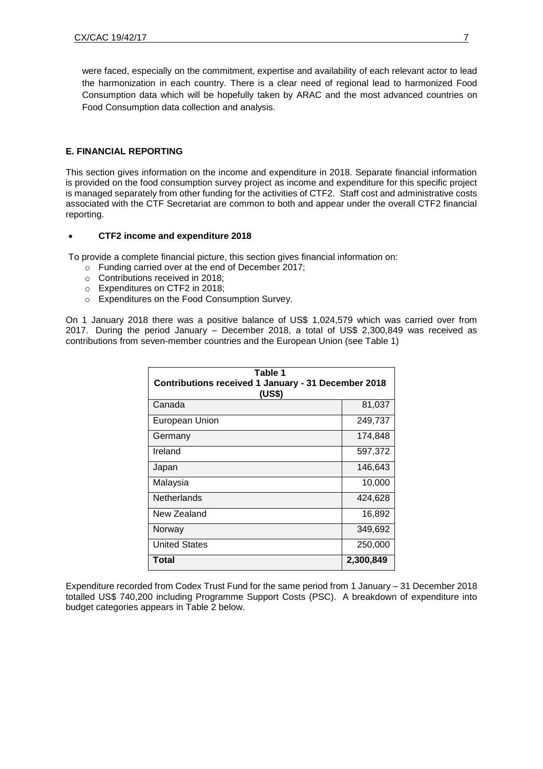were faced, especially on the commitment, expertise and availability of each relevant actor to lead the harmonization in each country. There is a clear need of regional lead to harmonized Food Consumption data which will be hopefully taken by ARAC and the most advanced countries on Food Consumption data collection and analysis.

# **E. FINANCIAL REPORTING**

This section gives information on the income and expenditure in 2018. Separate financial information is provided on the food consumption survey project as income and expenditure for this specific project is managed separately from other funding for the activities of CTF2. Staff cost and administrative costs associated with the CTF Secretariat are common to both and appear under the overall CTF2 financial reporting.

### **CTF2 income and expenditure 2018**

To provide a complete financial picture, this section gives financial information on:

- o Funding carried over at the end of December 2017;
- o Contributions received in 2018;
- o Expenditures on CTF2 in 2018;
- o Expenditures on the Food Consumption Survey.

On 1 January 2018 there was a positive balance of US\$ 1,024,579 which was carried over from 2017. During the period January – December 2018, a total of US\$ 2,300,849 was received as contributions from seven-member countries and the European Union (see Table 1)

| Table 1<br>Contributions received 1 January - 31 December 2018<br>(US\$) |           |  |  |  |
|--------------------------------------------------------------------------|-----------|--|--|--|
| Canada                                                                   | 81,037    |  |  |  |
| <b>European Union</b>                                                    | 249,737   |  |  |  |
| Germany                                                                  | 174,848   |  |  |  |
| Ireland                                                                  | 597,372   |  |  |  |
| Japan                                                                    | 146,643   |  |  |  |
| Malaysia                                                                 | 10,000    |  |  |  |
| Netherlands                                                              | 424,628   |  |  |  |
| New Zealand                                                              | 16,892    |  |  |  |
| Norway                                                                   | 349,692   |  |  |  |
| <b>United States</b>                                                     | 250,000   |  |  |  |
| Total                                                                    | 2,300,849 |  |  |  |

Expenditure recorded from Codex Trust Fund for the same period from 1 January – 31 December 2018 totalled US\$ 740,200 including Programme Support Costs (PSC). A breakdown of expenditure into budget categories appears in Table 2 below.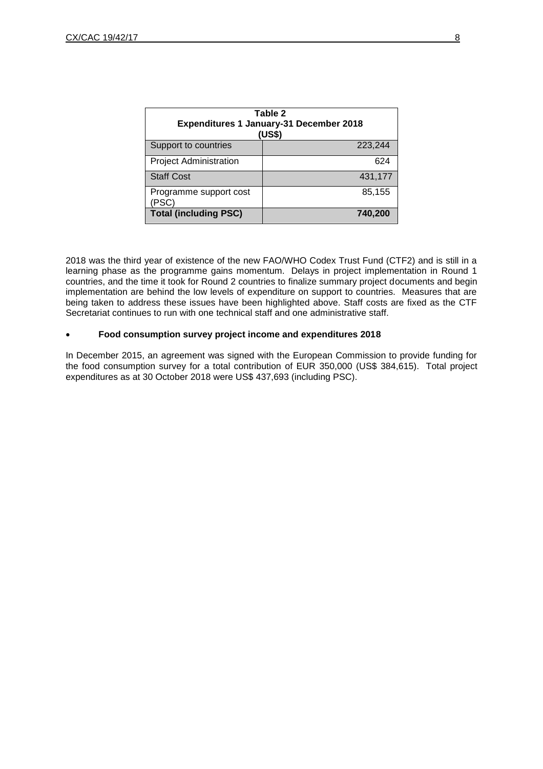| Table 2<br><b>Expenditures 1 January-31 December 2018</b><br>(US\$) |         |  |  |  |  |
|---------------------------------------------------------------------|---------|--|--|--|--|
| Support to countries                                                | 223,244 |  |  |  |  |
| <b>Project Administration</b>                                       | 624     |  |  |  |  |
| <b>Staff Cost</b>                                                   | 431,177 |  |  |  |  |
| Programme support cost<br>(PSC)                                     | 85,155  |  |  |  |  |
| <b>Total (including PSC)</b>                                        | 740,200 |  |  |  |  |

2018 was the third year of existence of the new FAO/WHO Codex Trust Fund (CTF2) and is still in a learning phase as the programme gains momentum. Delays in project implementation in Round 1 countries, and the time it took for Round 2 countries to finalize summary project documents and begin implementation are behind the low levels of expenditure on support to countries. Measures that are being taken to address these issues have been highlighted above. Staff costs are fixed as the CTF Secretariat continues to run with one technical staff and one administrative staff.

# **Food consumption survey project income and expenditures 2018**

In December 2015, an agreement was signed with the European Commission to provide funding for the food consumption survey for a total contribution of EUR 350,000 (US\$ 384,615). Total project expenditures as at 30 October 2018 were US\$ 437,693 (including PSC).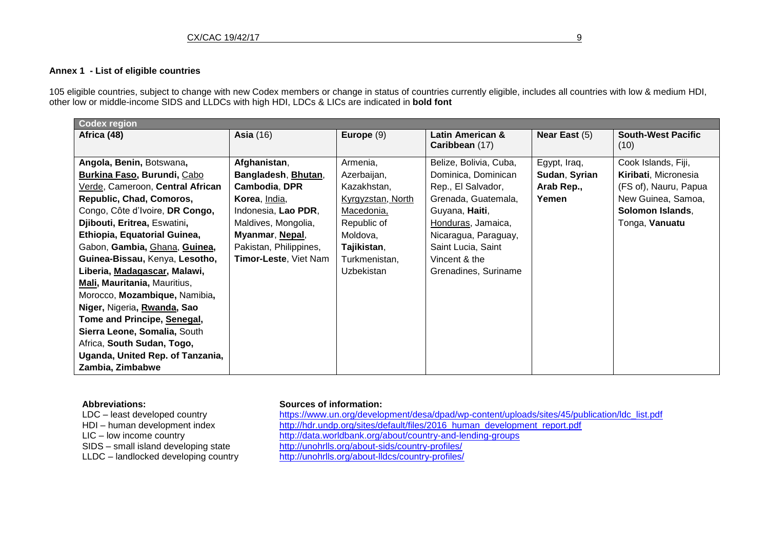# **Annex 1 - List of eligible countries**

105 eligible countries, subject to change with new Codex members or change in status of countries currently eligible, includes all countries with low & medium HDI, other low or middle-income SIDS and LLDCs with high HDI, LDCs & LICs are indicated in **bold font**

| <b>Codex region</b>                |                        |                   |                        |                 |                           |  |  |
|------------------------------------|------------------------|-------------------|------------------------|-----------------|---------------------------|--|--|
| Africa (48)                        | <b>Asia (16)</b>       | Europe $(9)$      | Latin American &       | Near East $(5)$ | <b>South-West Pacific</b> |  |  |
|                                    |                        |                   | Caribbean (17)         |                 | (10)                      |  |  |
| Angola, Benin, Botswana,           | Afghanistan,           | Armenia,          | Belize, Bolivia, Cuba, | Egypt, Iraq,    | Cook Islands, Fiji,       |  |  |
| <b>Burkina Faso, Burundi, Cabo</b> | Bangladesh, Bhutan,    | Azerbaijan,       | Dominica, Dominican    | Sudan, Syrian   | Kiribati, Micronesia      |  |  |
| Verde, Cameroon, Central African   | Cambodia, DPR          | Kazakhstan,       | Rep., El Salvador,     | Arab Rep.,      | (FS of), Nauru, Papua     |  |  |
| Republic, Chad, Comoros,           | Korea, India,          | Kyrgyzstan, North | Grenada, Guatemala,    | Yemen           | New Guinea, Samoa,        |  |  |
| Congo, Côte d'Ivoire, DR Congo,    | Indonesia, Lao PDR,    | Macedonia,        | Guyana, Haiti,         |                 | Solomon Islands,          |  |  |
| Djibouti, Eritrea, Eswatini,       | Maldives, Mongolia,    | Republic of       | Honduras, Jamaica,     |                 | Tonga, Vanuatu            |  |  |
| Ethiopia, Equatorial Guinea,       | Myanmar, Nepal,        | Moldova,          | Nicaragua, Paraguay,   |                 |                           |  |  |
| Gabon, Gambia, Ghana, Guinea,      | Pakistan, Philippines, | Tajikistan,       | Saint Lucia, Saint     |                 |                           |  |  |
| Guinea-Bissau, Kenya, Lesotho,     | Timor-Leste, Viet Nam  | Turkmenistan,     | Vincent & the          |                 |                           |  |  |
| Liberia, Madagascar, Malawi,       |                        | Uzbekistan        | Grenadines, Suriname   |                 |                           |  |  |
| Mali, Mauritania, Mauritius,       |                        |                   |                        |                 |                           |  |  |
| Morocco, Mozambique, Namibia,      |                        |                   |                        |                 |                           |  |  |
| Niger, Nigeria, Rwanda, Sao        |                        |                   |                        |                 |                           |  |  |
| Tome and Principe, Senegal,        |                        |                   |                        |                 |                           |  |  |
| Sierra Leone, Somalia, South       |                        |                   |                        |                 |                           |  |  |
| Africa, South Sudan, Togo,         |                        |                   |                        |                 |                           |  |  |
| Uganda, United Rep. of Tanzania,   |                        |                   |                        |                 |                           |  |  |
| Zambia, Zimbabwe                   |                        |                   |                        |                 |                           |  |  |

**Abbreviations: Sources of information:**<br>
LDC – least developed country **butters butters**://www.un.org/develo

https://www.un.org/development/desa/dpad/wp-content/uploads/sites/45/publication/ldc\_list.pdf HDI – human development index [http://hdr.undp.org/sites/default/files/2016\\_human\\_development\\_report.pdf](http://hdr.undp.org/sites/default/files/2016_human_development_report.pdf)<br>LIC – low income country http://data.worldbank.org/about/country-and-lending-groups LIC – low income country<br>
LIC – low income country<br>
SIDS – small island developing state<br>
http://unohrlls.org/about-sids/country-profiles/ <http://unohrlls.org/about-sids/country-profiles/> LLDC – landlocked developing country <http://unohrlls.org/about-lldcs/country-profiles/>